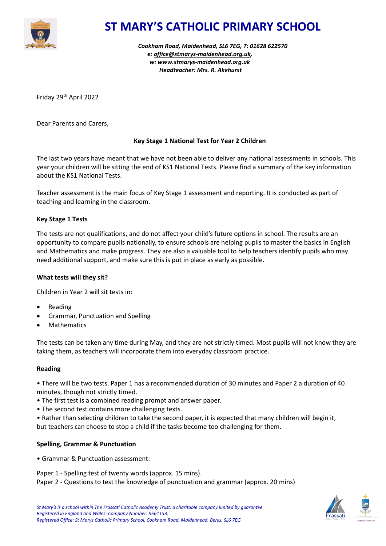

# **ST MARY'S CATHOLIC PRIMARY SCHOOL**

*Cookham Road, Maidenhead, SL6 7EG, T: 01628 622570 e: [office@stmarys-maidenhead.org.uk,](mailto:office@stmarys-maidenhead.org.uk) w: [www.stmarys-maidenhead.org.uk](http://www.stmarys-maidenhead.org.uk/) Headteacher: Mrs. R. Akehurst*

Friday 29 th April 2022

Dear Parents and Carers,

# **Key Stage 1 National Test for Year 2 Children**

The last two years have meant that we have not been able to deliver any national assessments in schools. This year your children will be sitting the end of KS1 National Tests. Please find a summary of the key information about the KS1 National Tests.

Teacher assessment is the main focus of Key Stage 1 assessment and reporting. It is conducted as part of teaching and learning in the classroom.

# **Key Stage 1 Tests**

The tests are not qualifications, and do not affect your child's future options in school. The results are an opportunity to compare pupils nationally, to ensure schools are helping pupils to master the basics in English and Mathematics and make progress. They are also a valuable tool to help teachers identify pupils who may need additional support, and make sure this is put in place as early as possible.

#### **What tests will they sit?**

Children in Year 2 will sit tests in:

- Reading
- Grammar, Punctuation and Spelling
- **Mathematics**

The tests can be taken any time during May, and they are not strictly timed. Most pupils will not know they are taking them, as teachers will incorporate them into everyday classroom practice.

#### **Reading**

• There will be two tests. Paper 1 has a recommended duration of 30 minutes and Paper 2 a duration of 40 minutes, though not strictly timed.

- The first test is a combined reading prompt and answer paper.
- The second test contains more challenging texts.
- Rather than selecting children to take the second paper, it is expected that many children will begin it, but teachers can choose to stop a child if the tasks become too challenging for them.

#### **Spelling, Grammar & Punctuation**

• Grammar & Punctuation assessment:

Paper 1 - Spelling test of twenty words (approx. 15 mins). Paper 2 - Questions to test the knowledge of punctuation and grammar (approx. 20 mins)